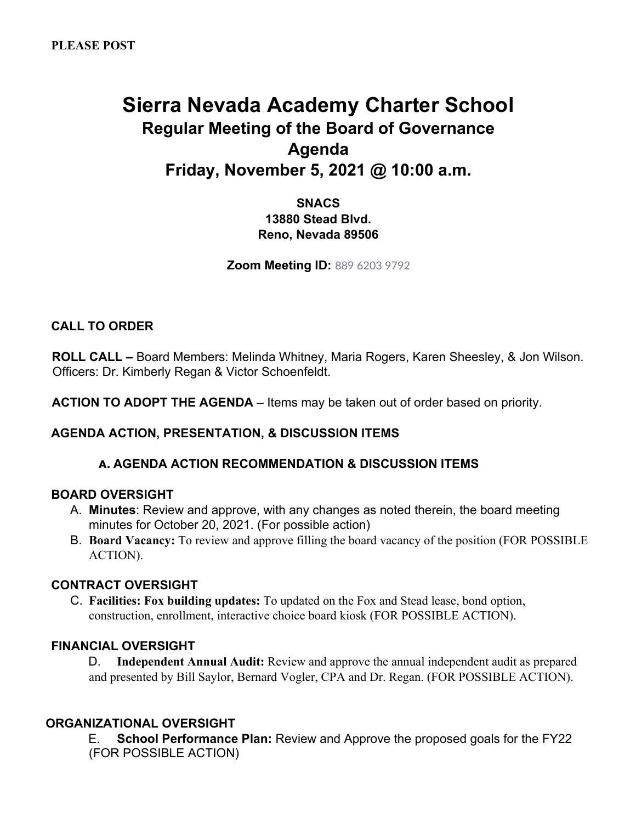# **Sierra Nevada Academy Charter School Regular Meeting of the Board of Governance Agenda Friday, November 5, 2021 @ 10:00 a.m.**

**SNACS 13880 Stead Blvd. Reno, Nevada 89506** 

**Zoom Meeting ID:** 889 6203 9792

# **CALL TO ORDER**

**ROLL CALL –** Board Members: Melinda Whitney, Maria Rogers, Karen Sheesley, & Jon Wilson. Officers: Dr. Kimberly Regan & Victor Schoenfeldt.

**ACTION TO ADOPT THE AGENDA** – Items may be taken out of order based on priority.

## **AGENDA ACTION, PRESENTATION, & DISCUSSION ITEMS**

## **A. AGENDA ACTION RECOMMENDATION & DISCUSSION ITEMS**

#### **BOARD OVERSIGHT**

- A. **Minutes**: Review and approve, with any changes as noted therein, the board meeting minutes for October 20, 2021. (For possible action)
- B. **Board Vacancy:** To review and approve filling the board vacancy of the position (FOR POSSIBLE ACTION).

#### **CONTRACT OVERSIGHT**

C. **Facilities: Fox building updates:** To updated on the Fox and Stead lease, bond option, construction, enrollment, interactive choice board kiosk (FOR POSSIBLE ACTION).

### **FINANCIAL OVERSIGHT**

D. **Independent Annual Audit:** Review and approve the annual independent audit as prepared and presented by Bill Saylor, Bernard Vogler, CPA and Dr. Regan. (FOR POSSIBLE ACTION).

#### **ORGANIZATIONAL OVERSIGHT**

E. **School Performance Plan:** Review and Approve the proposed goals for the FY22 (FOR POSSIBLE ACTION)